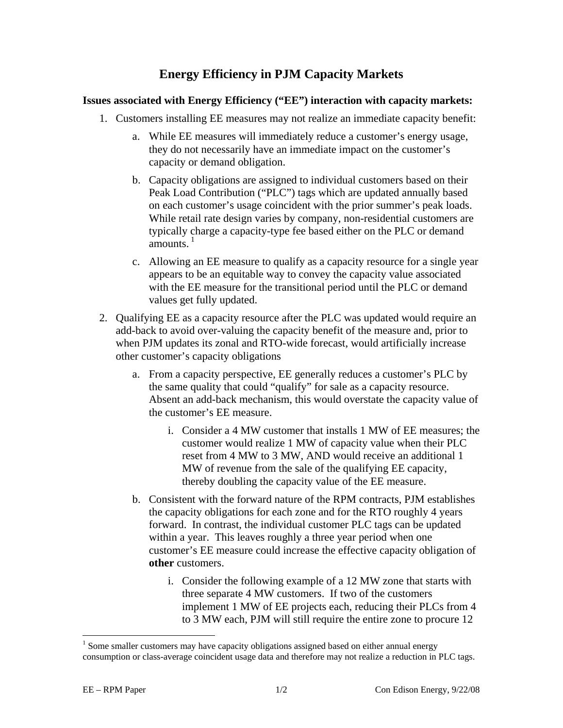## **Energy Efficiency in PJM Capacity Markets**

## **Issues associated with Energy Efficiency ("EE") interaction with capacity markets:**

- 1. Customers installing EE measures may not realize an immediate capacity benefit:
	- a. While EE measures will immediately reduce a customer's energy usage, they do not necessarily have an immediate impact on the customer's capacity or demand obligation.
	- b. Capacity obligations are assigned to individual customers based on their Peak Load Contribution ("PLC") tags which are updated annually based on each customer's usage coincident with the prior summer's peak loads. While retail rate design varies by company, non-residential customers are typically charge a capacity-type fee based either on the PLC or demand  $amounts.<sup>1</sup>$
	- c. Allowing an EE measure to qualify as a capacity resource for a single year appears to be an equitable way to convey the capacity value associated with the EE measure for the transitional period until the PLC or demand values get fully updated.
- 2. Qualifying EE as a capacity resource after the PLC was updated would require an add-back to avoid over-valuing the capacity benefit of the measure and, prior to when PJM updates its zonal and RTO-wide forecast, would artificially increase other customer's capacity obligations
	- a. From a capacity perspective, EE generally reduces a customer's PLC by the same quality that could "qualify" for sale as a capacity resource. Absent an add-back mechanism, this would overstate the capacity value of the customer's EE measure.
		- i. Consider a 4 MW customer that installs 1 MW of EE measures; the customer would realize 1 MW of capacity value when their PLC reset from 4 MW to 3 MW, AND would receive an additional 1 MW of revenue from the sale of the qualifying EE capacity, thereby doubling the capacity value of the EE measure.
	- b. Consistent with the forward nature of the RPM contracts, PJM establishes the capacity obligations for each zone and for the RTO roughly 4 years forward. In contrast, the individual customer PLC tags can be updated within a year. This leaves roughly a three year period when one customer's EE measure could increase the effective capacity obligation of **other** customers.
		- i. Consider the following example of a 12 MW zone that starts with three separate 4 MW customers. If two of the customers implement 1 MW of EE projects each, reducing their PLCs from 4 to 3 MW each, PJM will still require the entire zone to procure 12

 $\overline{a}$ 

 $<sup>1</sup>$  Some smaller customers may have capacity obligations assigned based on either annual energy</sup> consumption or class-average coincident usage data and therefore may not realize a reduction in PLC tags.